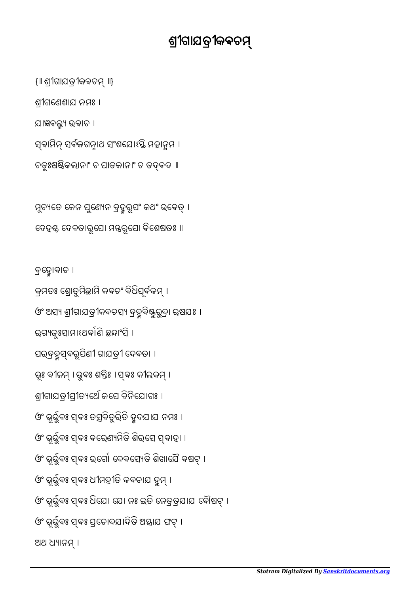ବେହାଵାଚ । କ୍ରମତଃ ଶ୍ରୋତୁମିଛାମି କବଚଂ ବିଧିପୂର୍ବକମ୍ । ଓଂ ଅସ୍ୟ ଶ୍ରୀଗାଯତ୍ରୀକବଚସ୍ୟ ବ୍ରହ୍ମୁବିଷ୍ଟୁରୁଦ୍ରା ଋଷଯଃ । ରଗ୍ୟକୁଃସାମାଽଥର୍କାଣି ଛନ୍ଦାଂସି । ପରବ୍ରହୁସ୍ ବରୂପିଣୀ ଗାଯତ୍ରୀ ଦେବତା । ଭୂଃ ବୀଜମ୍ । ଭୁବଃ ଶକ୍ତିଃ । ସ୍ବଃ କୀଲକମ୍ । ଶ୍ରୀଗାଯତ୍ରୀପ୍ରୀତ୍ୟର୍ଥେ ଜସେ ବିନିଯୋଗଃ । ଓଂ ଭୂର୍ଭୁବଃ ସ୍ଵଃ ତତ୍ସବିତୁରିତି ହୃଦଯାଯ ନମଃ । ଓଂ ଭୂର୍ଭୁବଃ ସ୍ଵଃ ବରେଣ୍ୟମିତି ଶିର୍ସେ ସ୍ବାହା । ଓଂ ଭୂର୍ଭୁବଃ ସ୍ଵଃ ଭଗୋ ଦେବସ୍ୟେତି ଶିଖାଯୈ ବଷଟ୍ । ଓଂ ଭୂର୍ଭୁବଃ ସ୍ଵଃ ଧୀମହୀତି କବଚାଯ ହୁମ୍ । ଓଂ ଭୂର୍ଭୁବଃ ସ୍ଵଃ ଧିଯେ। ଯୋ ନଃ ଇତି ନେତ୍ରତ୍ରଯାଯ ବୌଷଟ୍ । ଓଂ ଭୂର୍ଭୁବଃ ସ୍କଷ ପ୍ରଚୋଦଯାଦିତି ଅସ୍ତାଯ ଫଟ୍ । ଅଥ ଧ୍ୟାନମ୍ ।

ମୁଚ୍ୟତେ କେନ ସୁଣେ୍ୟନ ବ୍ରହ୍ମରୂପଂ କଥଂ ଭବେତ୍ । ଦେହୡ ଦେବତାରୂପୋ ମନ୍ତ୍ରରୂପୋ ବିଶେଷତଃ ॥

ଯାଜ୍ଞବଲ୍ଲ୍ୟ ଉବାଚ । ସ୍ଵାମିନ୍ ସର୍ବଜଗନ୍ନାଥ ସଂଶଯୋଽସ୍ତି ମହାନ୍ନମ । ଚତୁଃଷଷିକଲାନାଂ ଚ ପାତକାନାଂ ଚ ତଦ୍ବଦ ॥

ଶୀଗେଣଶାଯ ନମଃ ।

{॥ ଶୀଗାଯତୀକଵଚ ॥}

## ଶ୍ରୀଗାଯତ୍ରୀକକଚମ୍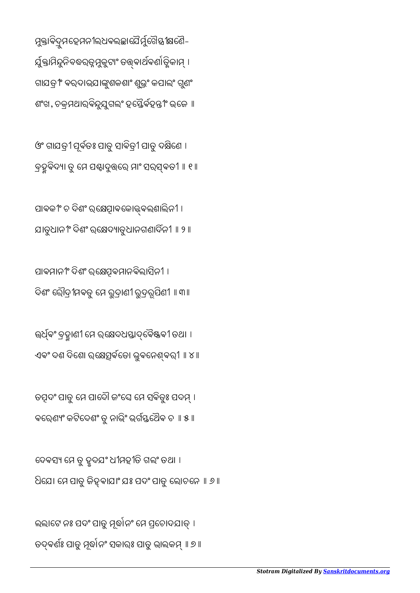ଲଲାଟେ ନଃ ପଦଂ ପାତୁ ମୂର୍ଦ୍ଧାନଂ ମେ ପ୍ରଚୋଦଯାତ୍ । ତଦ୍ବର୍ଣଃ ପାତୁ ମୂର୍ଦ୍ଧାନଂ ସକାରଃ ପାତୁ ଭାଲକମ୍ ॥ ୭ ॥

ଦେବସ୍ୟ ମେ ତୁ ହୃଦଯଂ ଧୀମହୀତି ଗଲଂ ତଥା । ଧିଯେ। ମେ ପାତୁ ଜିହୁବାଯାଂ ଯଃ ପଦଂ ପାତୁ ଲୋଚନେ ॥ ୬ ॥

ତତ୍ପଦଂ ପାତୁ ମେ ପାଦୌ ଜଂଘେ ମେ ସବିତୃଃ ପଦମ୍ । ଵେରଣଂ କଟିେଦଶଂ ତୁ ନାଭିଂ ଭଗେଥୖଵ ଚ ॥ ୫॥

ଉର୍ଧ୍ବଂ ବ୍ରହ୍ମାଣୀ ମେ ରକ୍ଷେଦଧସ୍ତାଦ୍ବୈଷ୍ଟବୀ ତଥା । ଏଵଂ ଦଶ ଦିେଶା ରେଵେତା ଭୁଵେନଵରୀ ॥ ୪॥

ପାଵମାନୀଂ ଦିଶଂ ରେଵମାନଵିଲାସିନୀ । ଦିଶଂ ରୌଦ୍ରୀମବତୁ ମେ ରୁଦ୍ରାଣୀ ରୁଦ୍ରରୂପିଣୀ ॥ ୩ ॥

ପାବକୀଂ ଚ ଦିଶଂ ର୍କ୍ଷେତ୍ପାବକୋଜ୍କକଲଶାଲିନୀ । ଯାତୁଧାନୀଂ ଦିଶଂ ରେଦାତୁଧାନଗଣାଦନୀ ॥ ୨॥

ଓଂ ଗାଯତ୍ରୀ ପୂର୍ବତଃ ପାତୁ ସାବିତ୍ରୀ ପାତୁ ଦକ୍ଷିଣେ । ବ୍ରହ୍ମବିଦ୍ୟା ତୁ ମେ ପଣ୍ଟାଦୁତ୍ତରେ ମାଂ ସରସ୍ବତୀ ॥ ୧ ॥

ମୁକ୍ତାବିଦ୍ରୁମଦ୍ଦେମନୀଲଧବଲ୍ଚ୍ଚାପୈର୍ମୁଟୈସ୍ତୀକ୍ଷଣୈ-ର୍ଯୁକ୍ତାମିନ୍ଦୁନିବଦ୍ଧରତ୍ନମୁକୁଟାଂ ତତ୍ତ୍ୱବାର୍ଥବର୍ଶାତ୍ତ୍ୱିକାମ୍ । ଗାଯତ୍ରୀଂ ବରଦାଭଯାଙ୍କୁଶକଶାଂ ଶୁଭ୍ରଂ କପାଲଂ ଗୁଣଂ ଶଂଖ, ଚକ୍ରମଥାର୍ବିନ୍ଦୁଯୁଗଲଂ ହସ୍ତୈର୍ବହନ୍ତୀଂ ଭଜେ ॥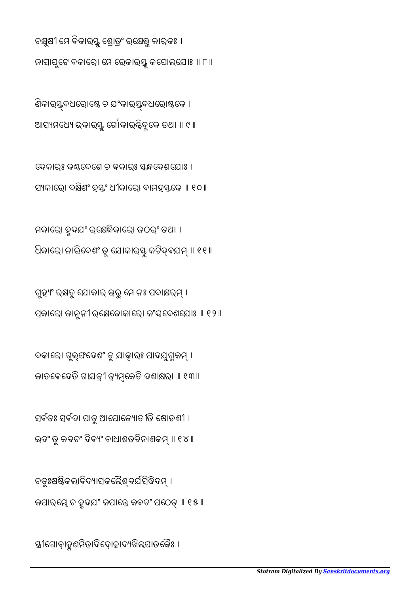ୀେଗାବାହଣମିତାଦିେଦାହାଦଖିଲପାତେକୖଃ ।

ଚତୁଃଷଷିକଲାବିଦ୍ୟାସକଲୈଶ୍ବର୍ଯସିଦ୍ଧିଦମ୍ । ଜପାର୍ୟେ ଚ ହୃଦଯଂ ଜପାନ୍ତେ କବଚଂ ପଠେତ୍ ॥ ୧୫ ॥

ଇଦଂ ତୁ କବଚଂ ଦିବ୍ୟଂ ବାଧାଶତବିନାଶକମ୍ ॥ ୧୪ ॥

ସର୍ବତଃ ସର୍ବଦା ପାତୁ ଆପୋଜ୍ୟୋତୀତି ଷୋଡଶୀ ।

ଦକାରେ। ଗୁଲ୍ଫଦେଶଂ ତୁ ଯାକାରଃ ପାଦଯୁଗ୍ମକମ୍ । ଜାତବେଦେଡି ଗାଯତ୍ରୀ ତ୍ୟମ୍ଭକେତି ଦଶାକ୍ଷରା ॥ ୧୩॥

ଗୁହ୍ୟଂ ରକ୍ଷତୁ ଯୋକାର ଉରୁ ମେ ନଃ ପଦାକ୍ଷରମ୍ । ପ୍ରକାରୋ ଜାନୁନୀ ରକ୍ଷେଚ୍ଚୋକାରୋ ଜଂଘଦେଶଯୋଃ ॥ ୧୨ ॥

ମକାେରା ହୃଦଯଂ ରେିକାେରା ଜଠରଂ ତଥା । ଧିକାରେ। ନାଭିଦେଶଂ ତୁ ଯୋକାର୍ସ୍ତୁ କଟିଦ୍ବଯମ୍ ॥ ୧୧॥

ଦେକାର୍ଃ କଣଦେଶେ ଚ ବକାର୍ଃ ସ୍କନ୍ଧଦେଶଯୋଃ । ସ୍ୟକାରୋ ଦକ୍ଷିଣଂ ହସ୍ତଂ ଧୀକାରୋ ବାମହସ୍ତକେ ॥ ୧୦ ॥

ଣିକାର୍ୟ୍ଭବଧରୋଷ୍ଟେ ଚ ଯଂକାର୍ୟ୍ଭବଧରୋଷ୍ଠକେ । ଆସ୍ୟମଧ୍ୟେ ଭକାର୍ୟ୍ସ୍ ର୍ଗୋକାର୍ଷ୍ଟିବୁକେ ତଥା ॥ ୯ ॥

ଚକ୍ଷୁଷୀ ମେ ବିକାର୍ସ୍ତୁ ଶ୍ରୋତ୍ରଂ ରକ୍ଷେତ୍ତୁ କାର୍କଃ । ନାସାପୁଟେ ବକାରେ। ମେ ରେକାର୍ସ୍ତୁ କପୋଲଯୋଃ ॥ ୮ ॥